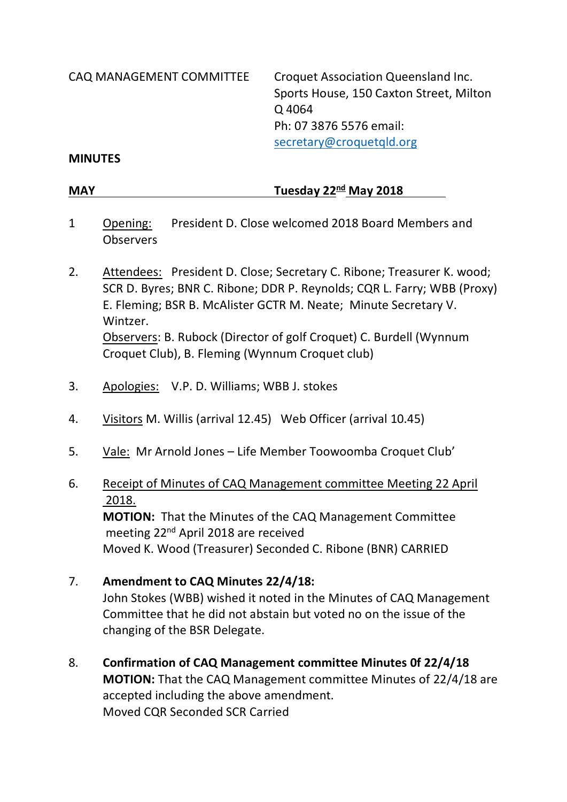CAQ MANAGEMENT COMMITTEE Croquet Association Queensland Inc. Sports House, 150 Caxton Street, Milton Q 4064 Ph: 07 3876 5576 email: [secretary@croquetqld.org](mailto:secretary@croquetqld.org)

#### **MINUTES**

**MAY Tuesday 22<sup>nd</sup> May 2018** 

- 1 Opening: President D. Close welcomed 2018 Board Members and **Observers**
- 2. Attendees: President D. Close; Secretary C. Ribone; Treasurer K. wood; SCR D. Byres; BNR C. Ribone; DDR P. Reynolds; CQR L. Farry; WBB (Proxy) E. Fleming; BSR B. McAlister GCTR M. Neate; Minute Secretary V. Wintzer. Observers: B. Rubock (Director of golf Croquet) C. Burdell (Wynnum Croquet Club), B. Fleming (Wynnum Croquet club)
- 3. Apologies: V.P. D. Williams; WBB J. stokes
- 4. Visitors M. Willis (arrival 12.45) Web Officer (arrival 10.45)
- 5. Vale: Mr Arnold Jones Life Member Toowoomba Croquet Club'

## 6. Receipt of Minutes of CAQ Management committee Meeting 22 April 2018.

**MOTION:** That the Minutes of the CAQ Management Committee meeting 22nd April 2018 are received Moved K. Wood (Treasurer) Seconded C. Ribone (BNR) CARRIED

### 7. **Amendment to CAQ Minutes 22/4/18:**

John Stokes (WBB) wished it noted in the Minutes of CAQ Management Committee that he did not abstain but voted no on the issue of the changing of the BSR Delegate.

8. **Confirmation of CAQ Management committee Minutes 0f 22/4/18 MOTION:** That the CAQ Management committee Minutes of 22/4/18 are accepted including the above amendment. Moved CQR Seconded SCR Carried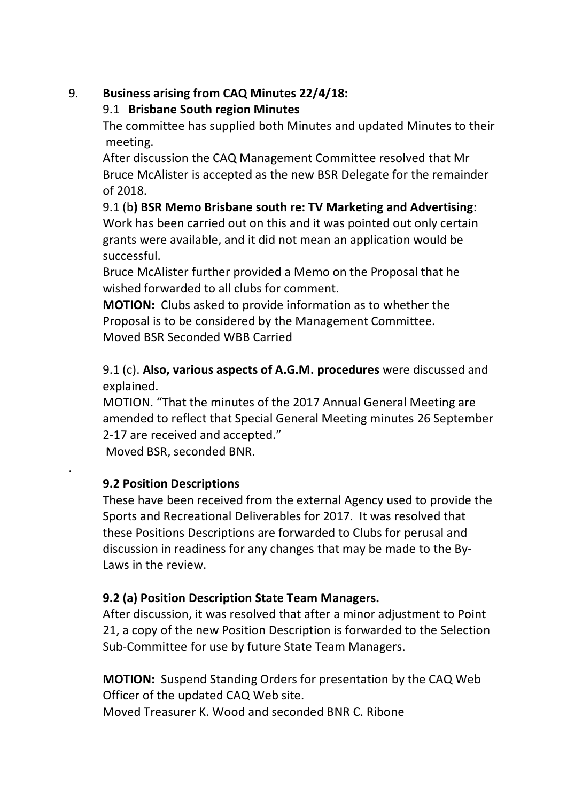# 9. **Business arising from CAQ Minutes 22/4/18:**

### 9.1 **Brisbane South region Minutes**

The committee has supplied both Minutes and updated Minutes to their meeting.

After discussion the CAQ Management Committee resolved that Mr Bruce McAlister is accepted as the new BSR Delegate for the remainder of 2018.

9.1 (b**) BSR Memo Brisbane south re: TV Marketing and Advertising**: Work has been carried out on this and it was pointed out only certain grants were available, and it did not mean an application would be successful.

Bruce McAlister further provided a Memo on the Proposal that he wished forwarded to all clubs for comment.

**MOTION:** Clubs asked to provide information as to whether the Proposal is to be considered by the Management Committee. Moved BSR Seconded WBB Carried

9.1 (c). **Also, various aspects of A.G.M. procedures** were discussed and explained.

MOTION. "That the minutes of the 2017 Annual General Meeting are amended to reflect that Special General Meeting minutes 26 September 2-17 are received and accepted."

Moved BSR, seconded BNR.

## **9.2 Position Descriptions**

.

These have been received from the external Agency used to provide the Sports and Recreational Deliverables for 2017. It was resolved that these Positions Descriptions are forwarded to Clubs for perusal and discussion in readiness for any changes that may be made to the By-Laws in the review.

# **9.2 (a) Position Description State Team Managers.**

After discussion, it was resolved that after a minor adjustment to Point 21, a copy of the new Position Description is forwarded to the Selection Sub-Committee for use by future State Team Managers.

**MOTION:** Suspend Standing Orders for presentation by the CAQ Web Officer of the updated CAQ Web site.

Moved Treasurer K. Wood and seconded BNR C. Ribone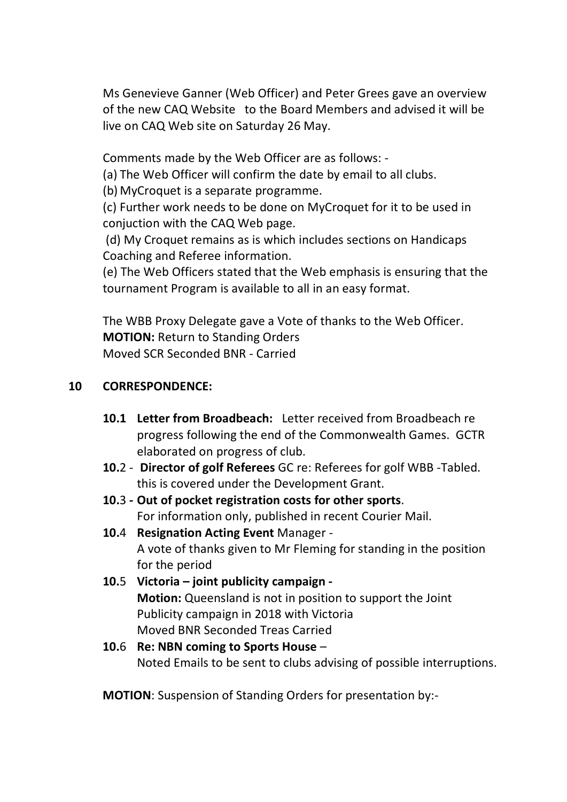Ms Genevieve Ganner (Web Officer) and Peter Grees gave an overview of the new CAQ Website to the Board Members and advised it will be live on CAQ Web site on Saturday 26 May.

Comments made by the Web Officer are as follows: -

(a) The Web Officer will confirm the date by email to all clubs.

(b) MyCroquet is a separate programme.

(c) Further work needs to be done on MyCroquet for it to be used in conjuction with the CAQ Web page.

(d) My Croquet remains as is which includes sections on Handicaps Coaching and Referee information.

(e) The Web Officers stated that the Web emphasis is ensuring that the tournament Program is available to all in an easy format.

The WBB Proxy Delegate gave a Vote of thanks to the Web Officer. **MOTION: Return to Standing Orders** Moved SCR Seconded BNR - Carried

### **10 CORRESPONDENCE:**

- **10.1 Letter from Broadbeach:** Letter received from Broadbeach re progress following the end of the Commonwealth Games. GCTR elaborated on progress of club.
- **10.**2 **Director of golf Referees** GC re: Referees for golf WBB -Tabled. this is covered under the Development Grant.
- **10.**3 **- Out of pocket registration costs for other sports**. For information only, published in recent Courier Mail.
- **10.**4 **Resignation Acting Event** Manager A vote of thanks given to Mr Fleming for standing in the position for the period
- **10.**5 **Victoria – joint publicity campaign - Motion:** Queensland is not in position to support the Joint Publicity campaign in 2018 with Victoria Moved BNR Seconded Treas Carried
- **10.**6 **Re: NBN coming to Sports House** Noted Emails to be sent to clubs advising of possible interruptions.

**MOTION**: Suspension of Standing Orders for presentation by:-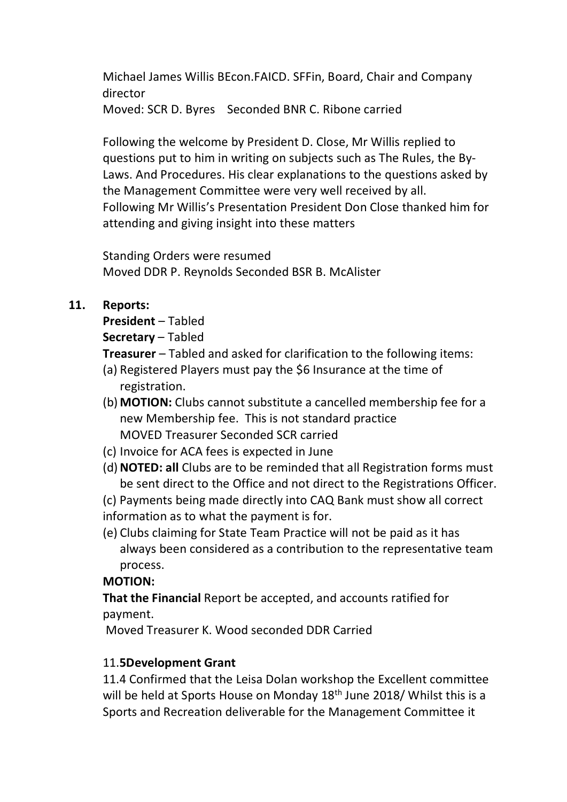Michael James Willis BEcon.FAICD. SFFin, Board, Chair and Company director Moved: SCR D. Byres Seconded BNR C. Ribone carried

Following the welcome by President D. Close, Mr Willis replied to questions put to him in writing on subjects such as The Rules, the By-Laws. And Procedures. His clear explanations to the questions asked by the Management Committee were very well received by all. Following Mr Willis's Presentation President Don Close thanked him for attending and giving insight into these matters

Standing Orders were resumed Moved DDR P. Reynolds Seconded BSR B. McAlister

### **11. Reports:**

### **President** – Tabled

**Secretary** – Tabled

**Treasurer** – Tabled and asked for clarification to the following items:

- (a) Registered Players must pay the \$6 Insurance at the time of registration.
- (b) **MOTION:** Clubs cannot substitute a cancelled membership fee for a new Membership fee. This is not standard practice MOVED Treasurer Seconded SCR carried
- (c) Invoice for ACA fees is expected in June
- (d)**NOTED: all** Clubs are to be reminded that all Registration forms must be sent direct to the Office and not direct to the Registrations Officer.

(c) Payments being made directly into CAQ Bank must show all correct

- information as to what the payment is for.
- (e) Clubs claiming for State Team Practice will not be paid as it has always been considered as a contribution to the representative team process.

### **MOTION:**

**That the Financial** Report be accepted, and accounts ratified for payment.

Moved Treasurer K. Wood seconded DDR Carried

## 11.**5Development Grant**

11.4 Confirmed that the Leisa Dolan workshop the Excellent committee will be held at Sports House on Monday 18<sup>th</sup> June 2018/ Whilst this is a Sports and Recreation deliverable for the Management Committee it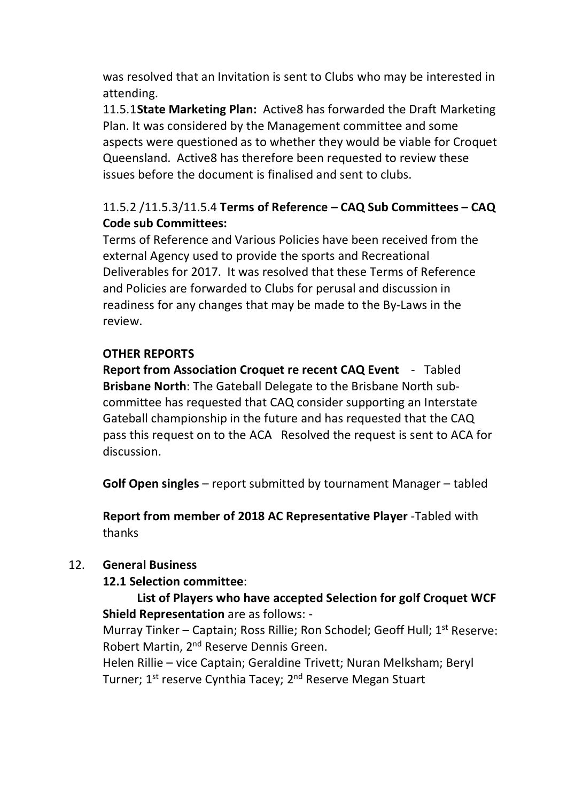was resolved that an Invitation is sent to Clubs who may be interested in attending.

11.5.1**State Marketing Plan:** Active8 has forwarded the Draft Marketing Plan. It was considered by the Management committee and some aspects were questioned as to whether they would be viable for Croquet Queensland. Active8 has therefore been requested to review these issues before the document is finalised and sent to clubs.

# 11.5.2 /11.5.3/11.5.4 **Terms of Reference – CAQ Sub Committees – CAQ Code sub Committees:**

Terms of Reference and Various Policies have been received from the external Agency used to provide the sports and Recreational Deliverables for 2017. It was resolved that these Terms of Reference and Policies are forwarded to Clubs for perusal and discussion in readiness for any changes that may be made to the By-Laws in the review.

### **OTHER REPORTS**

**Report from Association Croquet re recent CAQ Event** - Tabled **Brisbane North**: The Gateball Delegate to the Brisbane North subcommittee has requested that CAQ consider supporting an Interstate Gateball championship in the future and has requested that the CAQ pass this request on to the ACA Resolved the request is sent to ACA for discussion.

**Golf Open singles** – report submitted by tournament Manager – tabled

**Report from member of 2018 AC Representative Player** -Tabled with thanks

### 12. **General Business**

### **12.1 Selection committee**:

## **List of Players who have accepted Selection for golf Croquet WCF Shield Representation** are as follows: -

Murray Tinker – Captain; Ross Rillie; Ron Schodel; Geoff Hull; 1<sup>st</sup> Reserve: Robert Martin, 2nd Reserve Dennis Green.

Helen Rillie – vice Captain; Geraldine Trivett; Nuran Melksham; Beryl Turner; 1<sup>st</sup> reserve Cynthia Tacey; 2<sup>nd</sup> Reserve Megan Stuart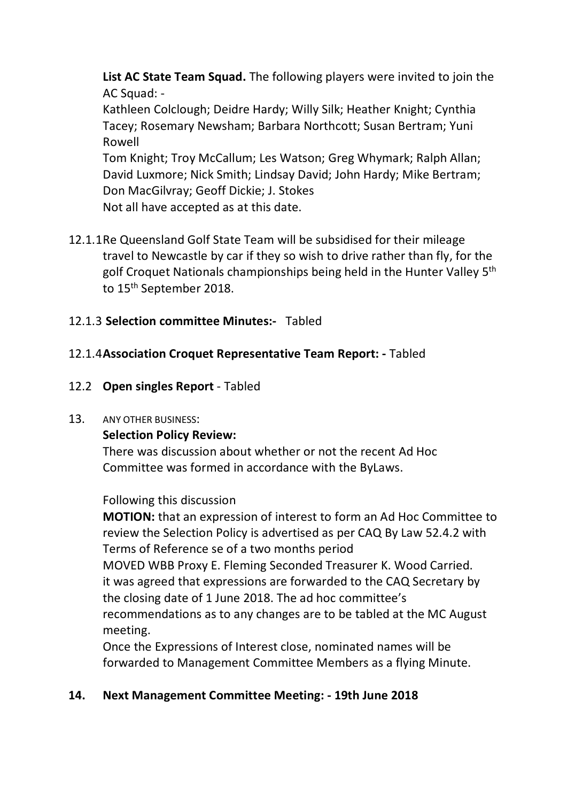**List AC State Team Squad.** The following players were invited to join the AC Squad: -

Kathleen Colclough; Deidre Hardy; Willy Silk; Heather Knight; Cynthia Tacey; Rosemary Newsham; Barbara Northcott; Susan Bertram; Yuni Rowell

Tom Knight; Troy McCallum; Les Watson; Greg Whymark; Ralph Allan; David Luxmore; Nick Smith; Lindsay David; John Hardy; Mike Bertram; Don MacGilvray; Geoff Dickie; J. Stokes Not all have accepted as at this date.

12.1.1Re Queensland Golf State Team will be subsidised for their mileage travel to Newcastle by car if they so wish to drive rather than fly, for the golf Croquet Nationals championships being held in the Hunter Valley 5th to 15<sup>th</sup> September 2018.

### 12.1.3 **Selection committee Minutes:-** Tabled

### 12.1.4**Association Croquet Representative Team Report: -** Tabled

12.2 **Open singles Report** - Tabled

#### 13. ANY OTHER BUSINESS:

#### **Selection Policy Review:**

There was discussion about whether or not the recent Ad Hoc Committee was formed in accordance with the ByLaws.

#### Following this discussion

**MOTION:** that an expression of interest to form an Ad Hoc Committee to review the Selection Policy is advertised as per CAQ By Law 52.4.2 with Terms of Reference se of a two months period

MOVED WBB Proxy E. Fleming Seconded Treasurer K. Wood Carried. it was agreed that expressions are forwarded to the CAQ Secretary by the closing date of 1 June 2018. The ad hoc committee's

recommendations as to any changes are to be tabled at the MC August meeting.

Once the Expressions of Interest close, nominated names will be forwarded to Management Committee Members as a flying Minute.

### **14. Next Management Committee Meeting: - 19th June 2018**